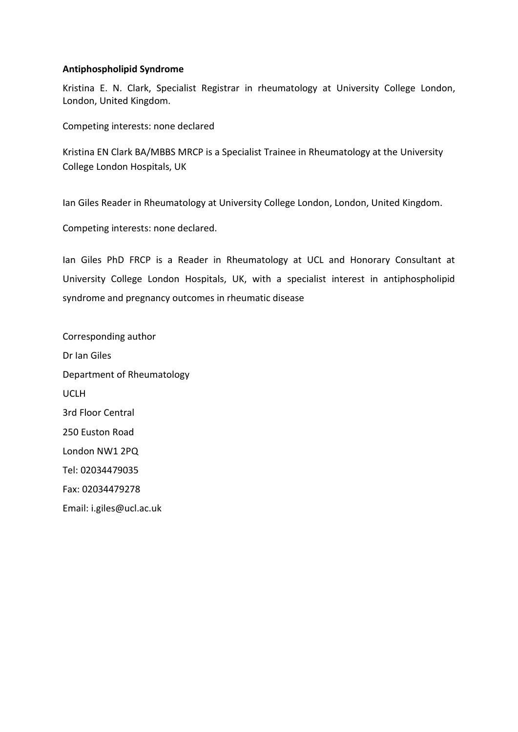# **Antiphospholipid Syndrome**

Kristina E. N. Clark, Specialist Registrar in rheumatology at University College London, London, United Kingdom.

Competing interests: none declared

Kristina EN Clark BA/MBBS MRCP is a Specialist Trainee in Rheumatology at the University College London Hospitals, UK

Ian Giles Reader in Rheumatology at University College London, London, United Kingdom.

Competing interests: none declared.

Ian Giles PhD FRCP is a Reader in Rheumatology at UCL and Honorary Consultant at University College London Hospitals, UK, with a specialist interest in antiphospholipid syndrome and pregnancy outcomes in rheumatic disease

Corresponding author Dr Ian Giles Department of Rheumatology UCLH 3rd Floor Central 250 Euston Road London NW1 2PQ Tel: 02034479035 Fax: 02034479278 Email: i.giles@ucl.ac.uk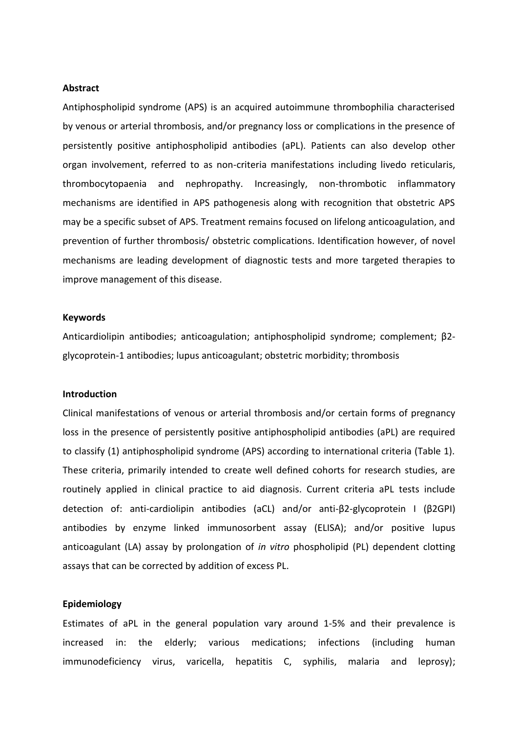#### **Abstract**

Antiphospholipid syndrome (APS) is an acquired autoimmune thrombophilia characterised by venous or arterial thrombosis, and/or pregnancy loss or complications in the presence of persistently positive antiphospholipid antibodies (aPL). Patients can also develop other organ involvement, referred to as non-criteria manifestations including livedo reticularis, thrombocytopaenia and nephropathy. Increasingly, non-thrombotic inflammatory mechanisms are identified in APS pathogenesis along with recognition that obstetric APS may be a specific subset of APS. Treatment remains focused on lifelong anticoagulation, and prevention of further thrombosis/ obstetric complications. Identification however, of novel mechanisms are leading development of diagnostic tests and more targeted therapies to improve management of this disease.

### **Keywords**

Anticardiolipin antibodies; anticoagulation; antiphospholipid syndrome; complement; β2 glycoprotein-1 antibodies; lupus anticoagulant; obstetric morbidity; thrombosis

## **Introduction**

Clinical manifestations of venous or arterial thrombosis and/or certain forms of pregnancy loss in the presence of persistently positive antiphospholipid antibodies (aPL) are required to classify (1) antiphospholipid syndrome (APS) according to international criteria (Table 1). These criteria, primarily intended to create well defined cohorts for research studies, are routinely applied in clinical practice to aid diagnosis. Current criteria aPL tests include detection of: anti-cardiolipin antibodies (aCL) and/or anti-β2-glycoprotein I (β2GPI) antibodies by enzyme linked immunosorbent assay (ELISA); and/or positive lupus anticoagulant (LA) assay by prolongation of *in vitro* phospholipid (PL) dependent clotting assays that can be corrected by addition of excess PL.

### **Epidemiology**

Estimates of aPL in the general population vary around 1-5% and their prevalence is increased in: the elderly; various medications; infections (including human immunodeficiency virus, varicella, hepatitis C, syphilis, malaria and leprosy);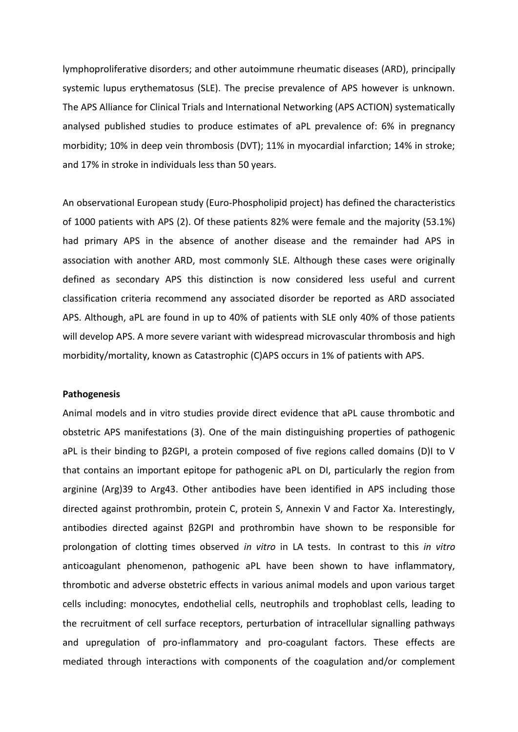lymphoproliferative disorders; and other autoimmune rheumatic diseases (ARD), principally systemic lupus erythematosus (SLE). The precise prevalence of APS however is unknown. The APS Alliance for Clinical Trials and International Networking (APS ACTION) systematically analysed published studies to produce estimates of aPL prevalence of: 6% in pregnancy morbidity; 10% in deep vein thrombosis (DVT); 11% in myocardial infarction; 14% in stroke; and 17% in stroke in individuals less than 50 years.

An observational European study (Euro-Phospholipid project) has defined the characteristics of 1000 patients with APS (2). Of these patients 82% were female and the majority (53.1%) had primary APS in the absence of another disease and the remainder had APS in association with another ARD, most commonly SLE. Although these cases were originally defined as secondary APS this distinction is now considered less useful and current classification criteria recommend any associated disorder be reported as ARD associated APS. Although, aPL are found in up to 40% of patients with SLE only 40% of those patients will develop APS. A more severe variant with widespread microvascular thrombosis and high morbidity/mortality, known as Catastrophic (C)APS occurs in 1% of patients with APS.

## **Pathogenesis**

Animal models and in vitro studies provide direct evidence that aPL cause thrombotic and obstetric APS manifestations (3). One of the main distinguishing properties of pathogenic aPL is their binding to β2GPI, a protein composed of five regions called domains (D)I to V that contains an important epitope for pathogenic aPL on DI, particularly the region from arginine (Arg)39 to Arg43. Other antibodies have been identified in APS including those directed against prothrombin, protein C, protein S, Annexin V and Factor Xa. Interestingly, antibodies directed against β2GPI and prothrombin have shown to be responsible for prolongation of clotting times observed *in vitro* in LA tests. In contrast to this *in vitro* anticoagulant phenomenon, pathogenic aPL have been shown to have inflammatory, thrombotic and adverse obstetric effects in various animal models and upon various target cells including: monocytes, endothelial cells, neutrophils and trophoblast cells, leading to the recruitment of cell surface receptors, perturbation of intracellular signalling pathways and upregulation of pro-inflammatory and pro-coagulant factors. These effects are mediated through interactions with components of the coagulation and/or complement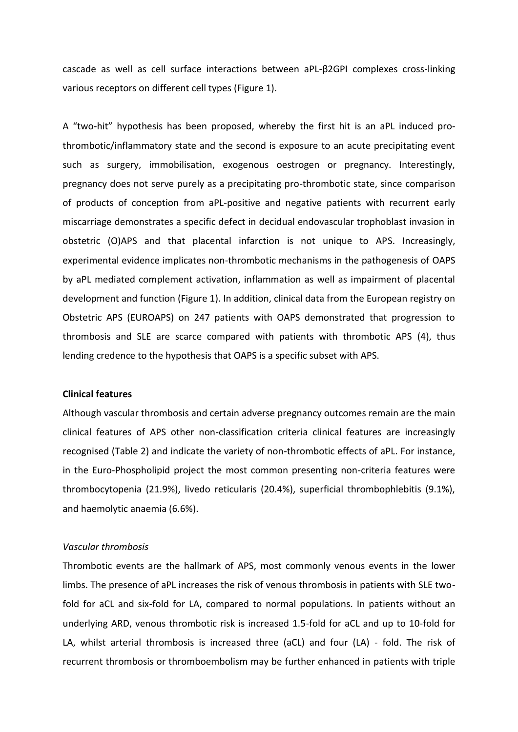cascade as well as cell surface interactions between aPL-β2GPI complexes cross-linking various receptors on different cell types (Figure 1).

A "two-hit" hypothesis has been proposed, whereby the first hit is an aPL induced prothrombotic/inflammatory state and the second is exposure to an acute precipitating event such as surgery, immobilisation, exogenous oestrogen or pregnancy. Interestingly, pregnancy does not serve purely as a precipitating pro-thrombotic state, since comparison of products of conception from aPL-positive and negative patients with recurrent early miscarriage demonstrates a specific defect in decidual endovascular trophoblast invasion in obstetric (O)APS and that placental infarction is not unique to APS. Increasingly, experimental evidence implicates non-thrombotic mechanisms in the pathogenesis of OAPS by aPL mediated complement activation, inflammation as well as impairment of placental development and function (Figure 1). In addition, clinical data from the European registry on Obstetric APS (EUROAPS) on 247 patients with OAPS demonstrated that progression to thrombosis and SLE are scarce compared with patients with thrombotic APS (4), thus lending credence to the hypothesis that OAPS is a specific subset with APS.

# **Clinical features**

Although vascular thrombosis and certain adverse pregnancy outcomes remain are the main clinical features of APS other non-classification criteria clinical features are increasingly recognised (Table 2) and indicate the variety of non-thrombotic effects of aPL. For instance, in the Euro-Phospholipid project the most common presenting non-criteria features were thrombocytopenia (21.9%), livedo reticularis (20.4%), superficial thrombophlebitis (9.1%), and haemolytic anaemia (6.6%).

# *Vascular thrombosis*

Thrombotic events are the hallmark of APS, most commonly venous events in the lower limbs. The presence of aPL increases the risk of venous thrombosis in patients with SLE twofold for aCL and six-fold for LA, compared to normal populations. In patients without an underlying ARD, venous thrombotic risk is increased 1.5-fold for aCL and up to 10-fold for LA, whilst arterial thrombosis is increased three (aCL) and four (LA) - fold. The risk of recurrent thrombosis or thromboembolism may be further enhanced in patients with triple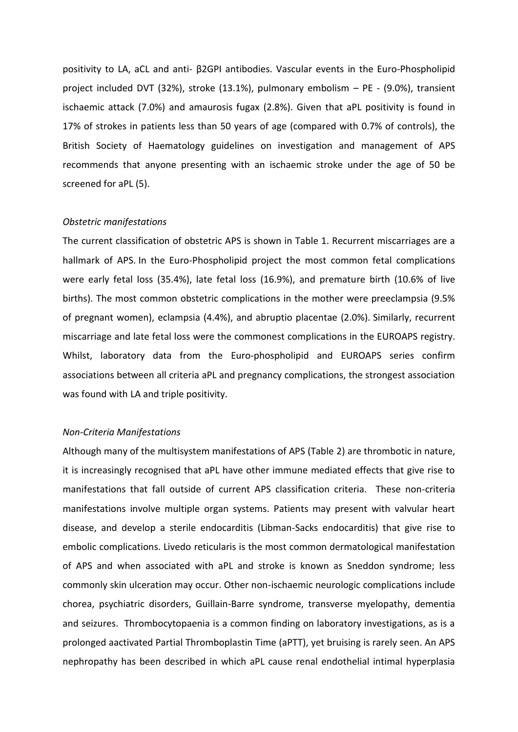positivity to LA, aCL and anti- β2GPI antibodies. Vascular events in the Euro-Phospholipid project included DVT (32%), stroke (13.1%), pulmonary embolism – PE - (9.0%), transient ischaemic attack (7.0%) and amaurosis fugax (2.8%). Given that aPL positivity is found in 17% of strokes in patients less than 50 years of age (compared with 0.7% of controls), the British Society of Haematology guidelines on investigation and management of APS recommends that anyone presenting with an ischaemic stroke under the age of 50 be screened for aPL (5).

### *Obstetric manifestations*

The current classification of obstetric APS is shown in Table 1. Recurrent miscarriages are a hallmark of APS. In the Euro-Phospholipid project the most common fetal complications were early fetal loss (35.4%), late fetal loss (16.9%), and premature birth (10.6% of live births). The most common obstetric complications in the mother were preeclampsia (9.5% of pregnant women), eclampsia (4.4%), and abruptio placentae (2.0%). Similarly, recurrent miscarriage and late fetal loss were the commonest complications in the EUROAPS registry. Whilst, laboratory data from the Euro-phospholipid and EUROAPS series confirm associations between all criteria aPL and pregnancy complications, the strongest association was found with LA and triple positivity.

# *Non-Criteria Manifestations*

Although many of the multisystem manifestations of APS (Table 2) are thrombotic in nature, it is increasingly recognised that aPL have other immune mediated effects that give rise to manifestations that fall outside of current APS classification criteria. These non-criteria manifestations involve multiple organ systems. Patients may present with valvular heart disease, and develop a sterile endocarditis (Libman-Sacks endocarditis) that give rise to embolic complications. Livedo reticularis is the most common dermatological manifestation of APS and when associated with aPL and stroke is known as Sneddon syndrome; less commonly skin ulceration may occur. Other non-ischaemic neurologic complications include chorea, psychiatric disorders, Guillain-Barre syndrome, transverse myelopathy, dementia and seizures. Thrombocytopaenia is a common finding on laboratory investigations, as is a prolonged aactivated Partial Thromboplastin Time (aPTT), yet bruising is rarely seen. An APS nephropathy has been described in which aPL cause renal endothelial intimal hyperplasia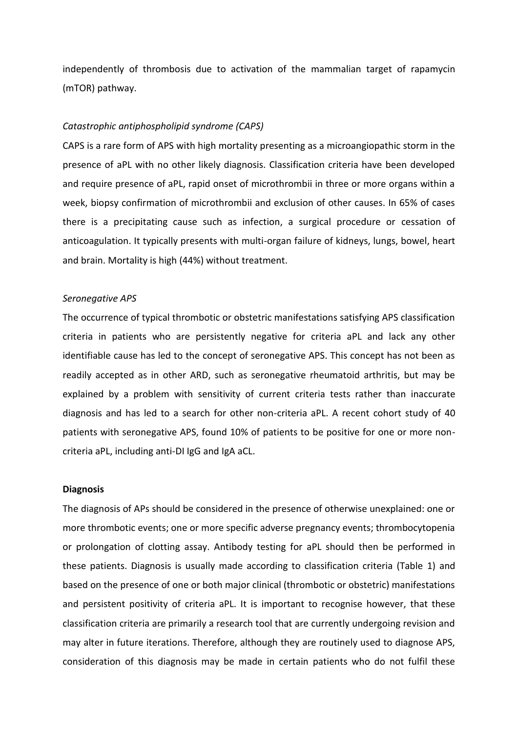independently of thrombosis due to activation of the mammalian target of rapamycin (mTOR) pathway.

## *Catastrophic antiphospholipid syndrome (CAPS)*

CAPS is a rare form of APS with high mortality presenting as a microangiopathic storm in the presence of aPL with no other likely diagnosis. Classification criteria have been developed and require presence of aPL, rapid onset of microthrombii in three or more organs within a week, biopsy confirmation of microthrombii and exclusion of other causes. In 65% of cases there is a precipitating cause such as infection, a surgical procedure or cessation of anticoagulation. It typically presents with multi-organ failure of kidneys, lungs, bowel, heart and brain. Mortality is high (44%) without treatment.

#### *Seronegative APS*

The occurrence of typical thrombotic or obstetric manifestations satisfying APS classification criteria in patients who are persistently negative for criteria aPL and lack any other identifiable cause has led to the concept of seronegative APS. This concept has not been as readily accepted as in other ARD, such as seronegative rheumatoid arthritis, but may be explained by a problem with sensitivity of current criteria tests rather than inaccurate diagnosis and has led to a search for other non-criteria aPL. A recent cohort study of 40 patients with seronegative APS, found 10% of patients to be positive for one or more noncriteria aPL, including anti-DI IgG and IgA aCL.

#### **Diagnosis**

The diagnosis of APs should be considered in the presence of otherwise unexplained: one or more thrombotic events; one or more specific adverse pregnancy events; thrombocytopenia or prolongation of clotting assay. Antibody testing for aPL should then be performed in these patients. Diagnosis is usually made according to classification criteria (Table 1) and based on the presence of one or both major clinical (thrombotic or obstetric) manifestations and persistent positivity of criteria aPL. It is important to recognise however, that these classification criteria are primarily a research tool that are currently undergoing revision and may alter in future iterations. Therefore, although they are routinely used to diagnose APS, consideration of this diagnosis may be made in certain patients who do not fulfil these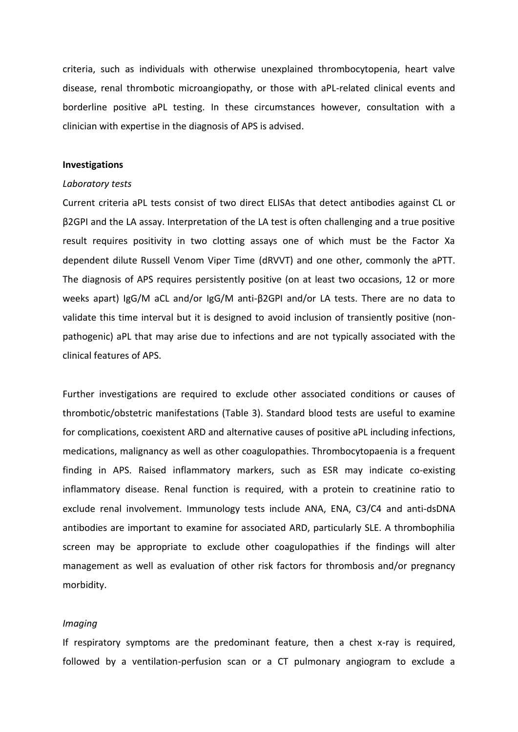criteria, such as individuals with otherwise unexplained thrombocytopenia, heart valve disease, renal thrombotic microangiopathy, or those with aPL-related clinical events and borderline positive aPL testing. In these circumstances however, consultation with a clinician with expertise in the diagnosis of APS is advised.

#### **Investigations**

#### *Laboratory tests*

Current criteria aPL tests consist of two direct ELISAs that detect antibodies against CL or β2GPI and the LA assay. Interpretation of the LA test is often challenging and a true positive result requires positivity in two clotting assays one of which must be the Factor Xa dependent dilute Russell Venom Viper Time (dRVVT) and one other, commonly the aPTT. The diagnosis of APS requires persistently positive (on at least two occasions, 12 or more weeks apart) IgG/M aCL and/or IgG/M anti-β2GPI and/or LA tests. There are no data to validate this time interval but it is designed to avoid inclusion of transiently positive (nonpathogenic) aPL that may arise due to infections and are not typically associated with the clinical features of APS.

Further investigations are required to exclude other associated conditions or causes of thrombotic/obstetric manifestations (Table 3). Standard blood tests are useful to examine for complications, coexistent ARD and alternative causes of positive aPL including infections, medications, malignancy as well as other coagulopathies. Thrombocytopaenia is a frequent finding in APS. Raised inflammatory markers, such as ESR may indicate co-existing inflammatory disease. Renal function is required, with a protein to creatinine ratio to exclude renal involvement. Immunology tests include ANA, ENA, C3/C4 and anti-dsDNA antibodies are important to examine for associated ARD, particularly SLE. A thrombophilia screen may be appropriate to exclude other coagulopathies if the findings will alter management as well as evaluation of other risk factors for thrombosis and/or pregnancy morbidity.

#### *Imaging*

If respiratory symptoms are the predominant feature, then a chest x-ray is required, followed by a ventilation-perfusion scan or a CT pulmonary angiogram to exclude a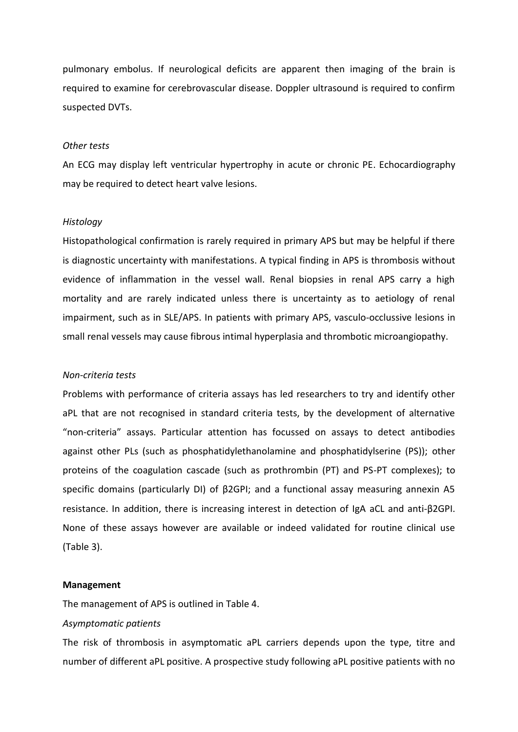pulmonary embolus. If neurological deficits are apparent then imaging of the brain is required to examine for cerebrovascular disease. Doppler ultrasound is required to confirm suspected DVTs.

#### *Other tests*

An ECG may display left ventricular hypertrophy in acute or chronic PE. Echocardiography may be required to detect heart valve lesions.

#### *Histology*

Histopathological confirmation is rarely required in primary APS but may be helpful if there is diagnostic uncertainty with manifestations. A typical finding in APS is thrombosis without evidence of inflammation in the vessel wall. Renal biopsies in renal APS carry a high mortality and are rarely indicated unless there is uncertainty as to aetiology of renal impairment, such as in SLE/APS. In patients with primary APS, vasculo-occlussive lesions in small renal vessels may cause fibrous intimal hyperplasia and thrombotic microangiopathy.

## *Non-criteria tests*

Problems with performance of criteria assays has led researchers to try and identify other aPL that are not recognised in standard criteria tests, by the development of alternative "non-criteria" assays. Particular attention has focussed on assays to detect antibodies against other PLs (such as phosphatidylethanolamine and phosphatidylserine (PS)); other proteins of the coagulation cascade (such as prothrombin (PT) and PS-PT complexes); to specific domains (particularly DI) of β2GPI; and a functional assay measuring annexin A5 resistance. In addition, there is increasing interest in detection of IgA aCL and anti-β2GPI. None of these assays however are available or indeed validated for routine clinical use (Table 3).

#### **Management**

The management of APS is outlined in Table 4.

## *Asymptomatic patients*

The risk of thrombosis in asymptomatic aPL carriers depends upon the type, titre and number of different aPL positive. A prospective study following aPL positive patients with no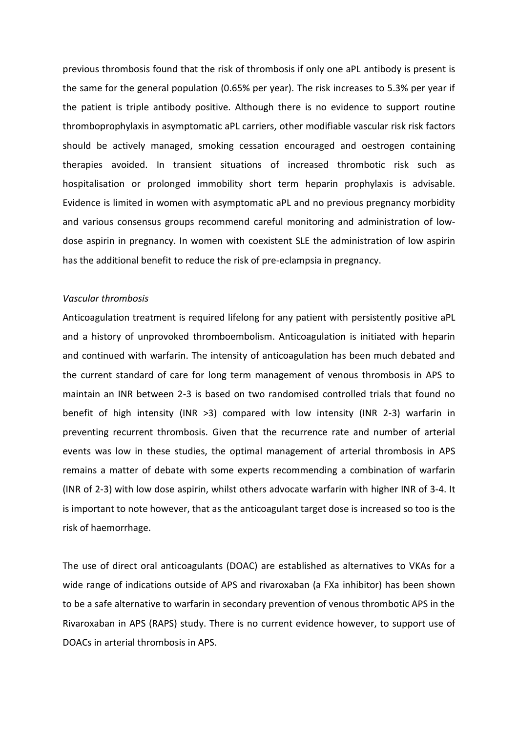previous thrombosis found that the risk of thrombosis if only one aPL antibody is present is the same for the general population (0.65% per year). The risk increases to 5.3% per year if the patient is triple antibody positive. Although there is no evidence to support routine thromboprophylaxis in asymptomatic aPL carriers, other modifiable vascular risk risk factors should be actively managed, smoking cessation encouraged and oestrogen containing therapies avoided. In transient situations of increased thrombotic risk such as hospitalisation or prolonged immobility short term heparin prophylaxis is advisable. Evidence is limited in women with asymptomatic aPL and no previous pregnancy morbidity and various consensus groups recommend careful monitoring and administration of lowdose aspirin in pregnancy. In women with coexistent SLE the administration of low aspirin has the additional benefit to reduce the risk of pre-eclampsia in pregnancy.

## *Vascular thrombosis*

Anticoagulation treatment is required lifelong for any patient with persistently positive aPL and a history of unprovoked thromboembolism. Anticoagulation is initiated with heparin and continued with warfarin. The intensity of anticoagulation has been much debated and the current standard of care for long term management of venous thrombosis in APS to maintain an INR between 2-3 is based on two randomised controlled trials that found no benefit of high intensity (INR >3) compared with low intensity (INR 2-3) warfarin in preventing recurrent thrombosis. Given that the recurrence rate and number of arterial events was low in these studies, the optimal management of arterial thrombosis in APS remains a matter of debate with some experts recommending a combination of warfarin (INR of 2-3) with low dose aspirin, whilst others advocate warfarin with higher INR of 3-4. It is important to note however, that as the anticoagulant target dose is increased so too is the risk of haemorrhage.

The use of direct oral anticoagulants (DOAC) are established as alternatives to VKAs for a wide range of indications outside of APS and rivaroxaban (a FXa inhibitor) has been shown to be a safe alternative to warfarin in secondary prevention of venous thrombotic APS in the Rivaroxaban in APS (RAPS) study. There is no current evidence however, to support use of DOACs in arterial thrombosis in APS.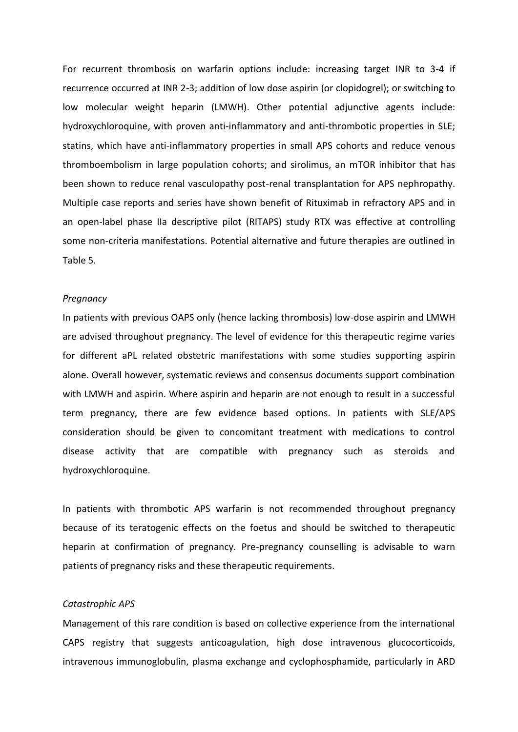For recurrent thrombosis on warfarin options include: increasing target INR to 3-4 if recurrence occurred at INR 2-3; addition of low dose aspirin (or clopidogrel); or switching to low molecular weight heparin (LMWH). Other potential adjunctive agents include: hydroxychloroquine, with proven anti-inflammatory and anti-thrombotic properties in SLE; statins, which have anti-inflammatory properties in small APS cohorts and reduce venous thromboembolism in large population cohorts; and sirolimus, an mTOR inhibitor that has been shown to reduce renal vasculopathy post-renal transplantation for APS nephropathy. Multiple case reports and series have shown benefit of Rituximab in refractory APS and in an open-label phase IIa descriptive pilot (RITAPS) study RTX was effective at controlling some non-criteria manifestations. Potential alternative and future therapies are outlined in Table 5.

#### *Pregnancy*

In patients with previous OAPS only (hence lacking thrombosis) low-dose aspirin and LMWH are advised throughout pregnancy. The level of evidence for this therapeutic regime varies for different aPL related obstetric manifestations with some studies supporting aspirin alone. Overall however, systematic reviews and consensus documents support combination with LMWH and aspirin. Where aspirin and heparin are not enough to result in a successful term pregnancy, there are few evidence based options. In patients with SLE/APS consideration should be given to concomitant treatment with medications to control disease activity that are compatible with pregnancy such as steroids and hydroxychloroquine.

In patients with thrombotic APS warfarin is not recommended throughout pregnancy because of its teratogenic effects on the foetus and should be switched to therapeutic heparin at confirmation of pregnancy. Pre-pregnancy counselling is advisable to warn patients of pregnancy risks and these therapeutic requirements.

## *Catastrophic APS*

Management of this rare condition is based on collective experience from the international CAPS registry that suggests anticoagulation, high dose intravenous glucocorticoids, intravenous immunoglobulin, plasma exchange and cyclophosphamide, particularly in ARD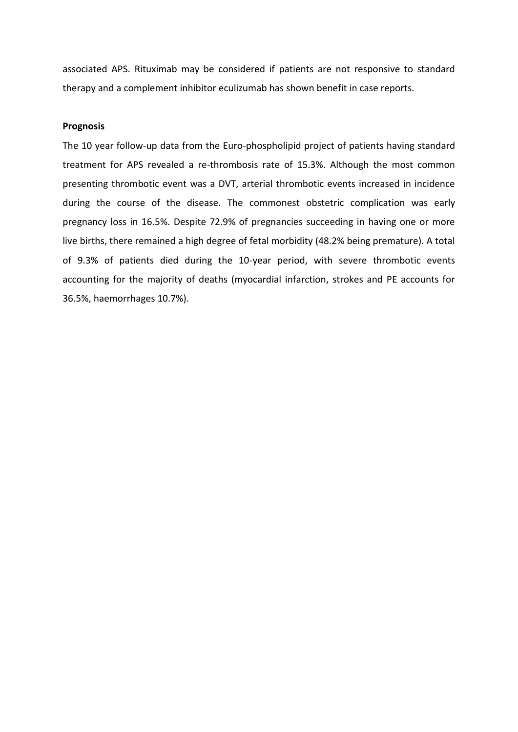associated APS. Rituximab may be considered if patients are not responsive to standard therapy and a complement inhibitor eculizumab has shown benefit in case reports.

### **Prognosis**

The 10 year follow-up data from the Euro-phospholipid project of patients having standard treatment for APS revealed a re-thrombosis rate of 15.3%. Although the most common presenting thrombotic event was a DVT, arterial thrombotic events increased in incidence during the course of the disease. The commonest obstetric complication was early pregnancy loss in 16.5%. Despite 72.9% of pregnancies succeeding in having one or more live births, there remained a high degree of fetal morbidity (48.2% being premature). A total of 9.3% of patients died during the 10-year period, with severe thrombotic events accounting for the majority of deaths (myocardial infarction, strokes and PE accounts for 36.5%, haemorrhages 10.7%).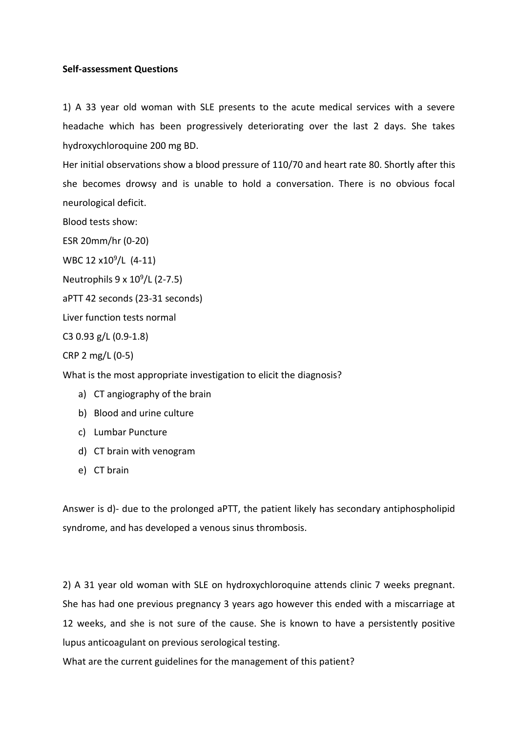# **Self-assessment Questions**

1) A 33 year old woman with SLE presents to the acute medical services with a severe headache which has been progressively deteriorating over the last 2 days. She takes hydroxychloroquine 200 mg BD.

Her initial observations show a blood pressure of 110/70 and heart rate 80. Shortly after this she becomes drowsy and is unable to hold a conversation. There is no obvious focal neurological deficit.

Blood tests show:

ESR 20mm/hr (0-20)

WBC 12 x10<sup>9</sup>/L (4-11)

Neutrophils 9 x 10<sup>9</sup> /L (2-7.5)

aPTT 42 seconds (23-31 seconds)

Liver function tests normal

C3 0.93 g/L (0.9-1.8)

CRP 2 mg/L (0-5)

What is the most appropriate investigation to elicit the diagnosis?

- a) CT angiography of the brain
- b) Blood and urine culture
- c) Lumbar Puncture
- d) CT brain with venogram
- e) CT brain

Answer is d)- due to the prolonged aPTT, the patient likely has secondary antiphospholipid syndrome, and has developed a venous sinus thrombosis.

2) A 31 year old woman with SLE on hydroxychloroquine attends clinic 7 weeks pregnant. She has had one previous pregnancy 3 years ago however this ended with a miscarriage at 12 weeks, and she is not sure of the cause. She is known to have a persistently positive lupus anticoagulant on previous serological testing.

What are the current guidelines for the management of this patient?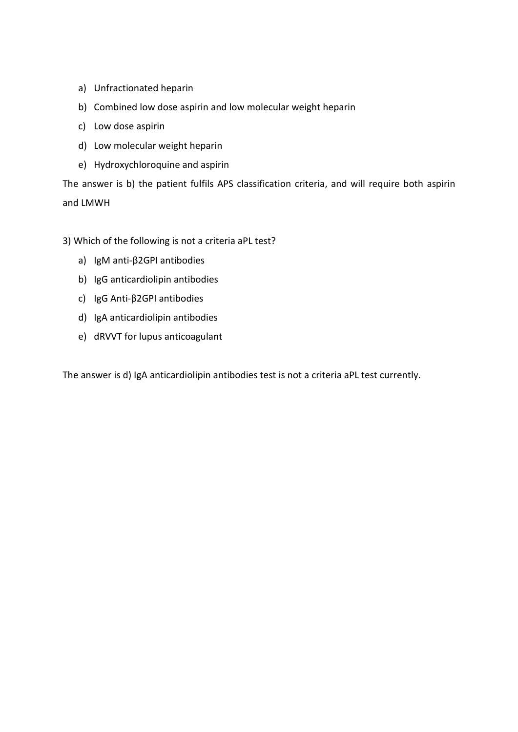- a) Unfractionated heparin
- b) Combined low dose aspirin and low molecular weight heparin
- c) Low dose aspirin
- d) Low molecular weight heparin
- e) Hydroxychloroquine and aspirin

The answer is b) the patient fulfils APS classification criteria, and will require both aspirin and LMWH

3) Which of the following is not a criteria aPL test?

- a) IgM anti-β2GPI antibodies
- b) IgG anticardiolipin antibodies
- c) IgG Anti-β2GPI antibodies
- d) IgA anticardiolipin antibodies
- e) dRVVT for lupus anticoagulant

The answer is d) IgA anticardiolipin antibodies test is not a criteria aPL test currently.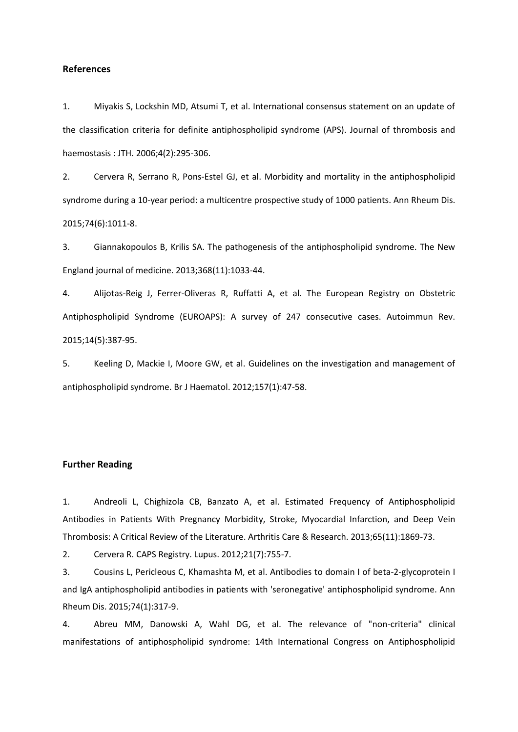#### **References**

1. Miyakis S, Lockshin MD, Atsumi T, et al. International consensus statement on an update of the classification criteria for definite antiphospholipid syndrome (APS). Journal of thrombosis and haemostasis : JTH. 2006;4(2):295-306.

2. Cervera R, Serrano R, Pons-Estel GJ, et al. Morbidity and mortality in the antiphospholipid syndrome during a 10-year period: a multicentre prospective study of 1000 patients. Ann Rheum Dis. 2015;74(6):1011-8.

3. Giannakopoulos B, Krilis SA. The pathogenesis of the antiphospholipid syndrome. The New England journal of medicine. 2013;368(11):1033-44.

4. Alijotas-Reig J, Ferrer-Oliveras R, Ruffatti A, et al. The European Registry on Obstetric Antiphospholipid Syndrome (EUROAPS): A survey of 247 consecutive cases. Autoimmun Rev. 2015;14(5):387-95.

5. Keeling D, Mackie I, Moore GW, et al. Guidelines on the investigation and management of antiphospholipid syndrome. Br J Haematol. 2012;157(1):47-58.

## **Further Reading**

1. Andreoli L, Chighizola CB, Banzato A, et al. Estimated Frequency of Antiphospholipid Antibodies in Patients With Pregnancy Morbidity, Stroke, Myocardial Infarction, and Deep Vein Thrombosis: A Critical Review of the Literature. Arthritis Care & Research. 2013;65(11):1869-73.

2. Cervera R. CAPS Registry. Lupus. 2012;21(7):755-7.

3. Cousins L, Pericleous C, Khamashta M, et al. Antibodies to domain I of beta-2-glycoprotein I and IgA antiphospholipid antibodies in patients with 'seronegative' antiphospholipid syndrome. Ann Rheum Dis. 2015;74(1):317-9.

4. Abreu MM, Danowski A, Wahl DG, et al. The relevance of "non-criteria" clinical manifestations of antiphospholipid syndrome: 14th International Congress on Antiphospholipid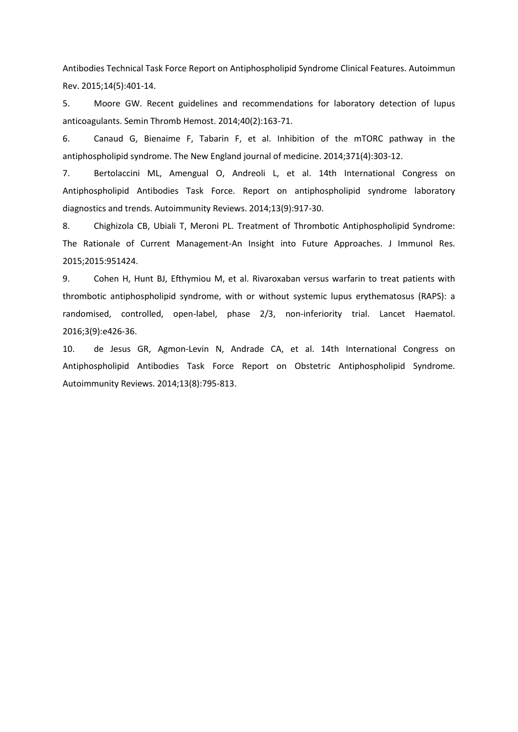Antibodies Technical Task Force Report on Antiphospholipid Syndrome Clinical Features. Autoimmun Rev. 2015;14(5):401-14.

5. Moore GW. Recent guidelines and recommendations for laboratory detection of lupus anticoagulants. Semin Thromb Hemost. 2014;40(2):163-71.

6. Canaud G, Bienaime F, Tabarin F, et al. Inhibition of the mTORC pathway in the antiphospholipid syndrome. The New England journal of medicine. 2014;371(4):303-12.

7. Bertolaccini ML, Amengual O, Andreoli L, et al. 14th International Congress on Antiphospholipid Antibodies Task Force. Report on antiphospholipid syndrome laboratory diagnostics and trends. Autoimmunity Reviews. 2014;13(9):917-30.

8. Chighizola CB, Ubiali T, Meroni PL. Treatment of Thrombotic Antiphospholipid Syndrome: The Rationale of Current Management-An Insight into Future Approaches. J Immunol Res. 2015;2015:951424.

9. Cohen H, Hunt BJ, Efthymiou M, et al. Rivaroxaban versus warfarin to treat patients with thrombotic antiphospholipid syndrome, with or without systemic lupus erythematosus (RAPS): a randomised, controlled, open-label, phase 2/3, non-inferiority trial. Lancet Haematol. 2016;3(9):e426-36.

10. de Jesus GR, Agmon-Levin N, Andrade CA, et al. 14th International Congress on Antiphospholipid Antibodies Task Force Report on Obstetric Antiphospholipid Syndrome. Autoimmunity Reviews. 2014;13(8):795-813.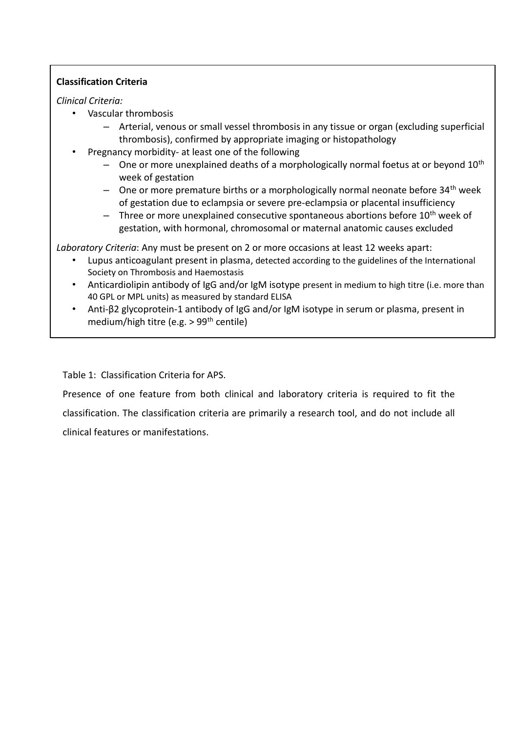# **Classification Criteria**

# *Clinical Criteria:*

- Vascular thrombosis
	- Arterial, venous or small vessel thrombosis in any tissue or organ (excluding superficial thrombosis), confirmed by appropriate imaging or histopathology
- Pregnancy morbidity- at least one of the following
	- $-$  One or more unexplained deaths of a morphologically normal foetus at or beyond 10<sup>th</sup> week of gestation
	- One or more premature births or a morphologically normal neonate before  $34<sup>th</sup>$  week of gestation due to eclampsia or severe pre-eclampsia or placental insufficiency
	- $-$  Three or more unexplained consecutive spontaneous abortions before 10<sup>th</sup> week of gestation, with hormonal, chromosomal or maternal anatomic causes excluded

*Laboratory Criteria*: Any must be present on 2 or more occasions at least 12 weeks apart:

- Lupus anticoagulant present in plasma, detected according to the guidelines of the International Society on Thrombosis and Haemostasis
- Anticardiolipin antibody of IgG and/or IgM isotype present in medium to high titre (i.e. more than 40 GPL or MPL units) as measured by standard ELISA
- Anti-β2 glycoprotein-1 antibody of IgG and/or IgM isotype in serum or plasma, present in medium/high titre (e.g. > 99th centile)

Table 1: Classification Criteria for APS.

Presence of one feature from both clinical and laboratory criteria is required to fit the classification. The classification criteria are primarily a research tool, and do not include all clinical features or manifestations.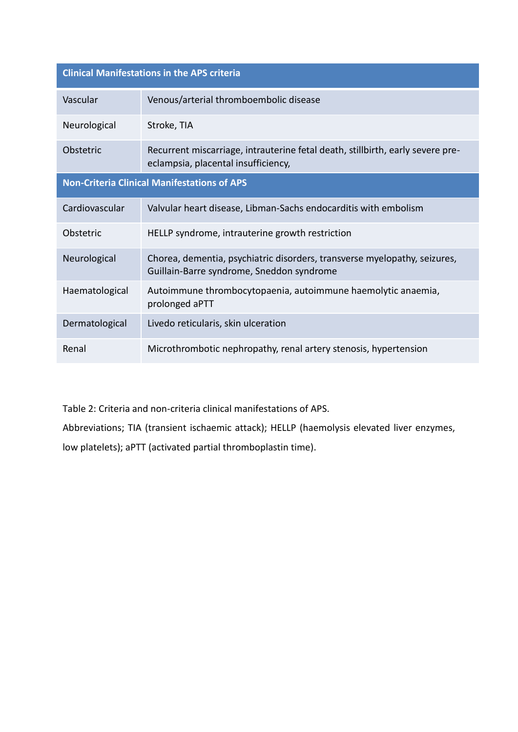| <b>Clinical Manifestations in the APS criteria</b> |                                                                                                                        |  |
|----------------------------------------------------|------------------------------------------------------------------------------------------------------------------------|--|
| Vascular                                           | Venous/arterial thromboembolic disease                                                                                 |  |
| Neurological                                       | Stroke, TIA                                                                                                            |  |
| Obstetric                                          | Recurrent miscarriage, intrauterine fetal death, stillbirth, early severe pre-<br>eclampsia, placental insufficiency,  |  |
| <b>Non-Criteria Clinical Manifestations of APS</b> |                                                                                                                        |  |
| Cardiovascular                                     | Valvular heart disease, Libman-Sachs endocarditis with embolism                                                        |  |
| Obstetric                                          | HELLP syndrome, intrauterine growth restriction                                                                        |  |
| Neurological                                       | Chorea, dementia, psychiatric disorders, transverse myelopathy, seizures,<br>Guillain-Barre syndrome, Sneddon syndrome |  |
| Haematological                                     | Autoimmune thrombocytopaenia, autoimmune haemolytic anaemia,<br>prolonged aPTT                                         |  |
| Dermatological                                     | Livedo reticularis, skin ulceration                                                                                    |  |
| Renal                                              | Microthrombotic nephropathy, renal artery stenosis, hypertension                                                       |  |

Table 2: Criteria and non-criteria clinical manifestations of APS.

Abbreviations; TIA (transient ischaemic attack); HELLP (haemolysis elevated liver enzymes, low platelets); aPTT (activated partial thromboplastin time).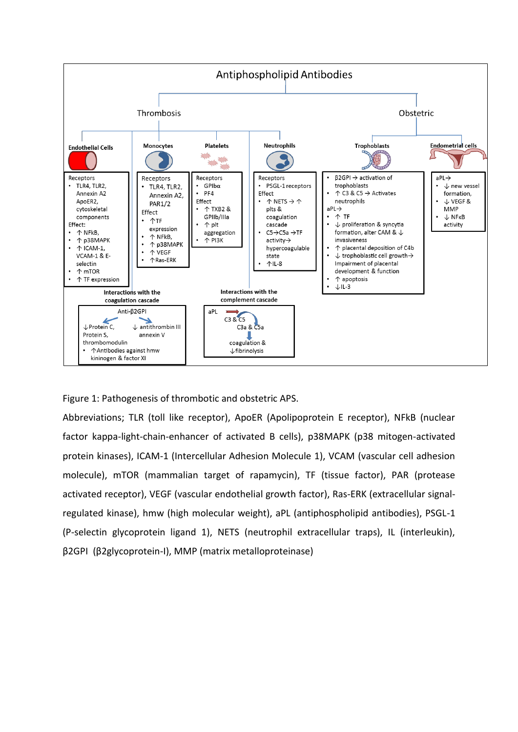

Figure 1: Pathogenesis of thrombotic and obstetric APS.

Abbreviations; TLR (toll like receptor), ApoER (Apolipoprotein E receptor), NFkB (nuclear factor kappa-light-chain-enhancer of activated B cells), p38MAPK (p38 mitogen-activated protein kinases), ICAM-1 (Intercellular Adhesion Molecule 1), VCAM (vascular cell adhesion molecule), mTOR (mammalian target of rapamycin), TF (tissue factor), PAR (protease activated receptor), VEGF (vascular endothelial growth factor), Ras-ERK (extracellular signalregulated kinase), hmw (high molecular weight), aPL (antiphospholipid antibodies), PSGL-1 (P-selectin glycoprotein ligand 1), NETS (neutrophil extracellular traps), IL (interleukin), β2GPI (β2glycoprotein-I), MMP (matrix metalloproteinase)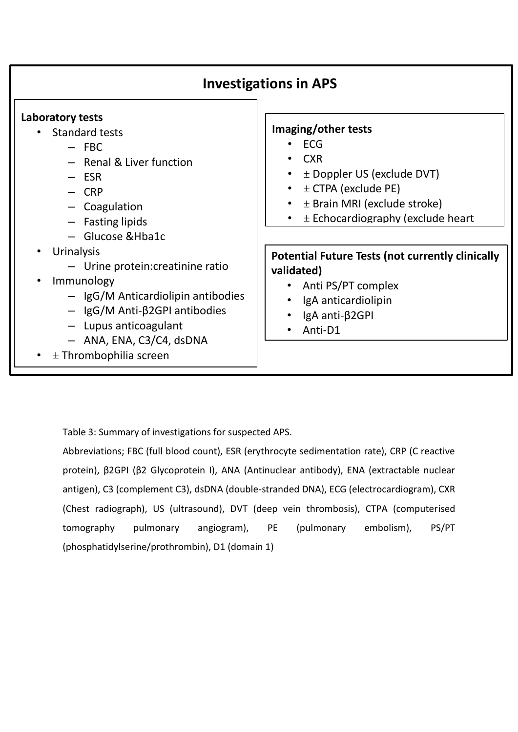| <b>Investigations in APS</b>                                                                                                                                                                                                                                  |                                                                                                                                                                                           |  |
|---------------------------------------------------------------------------------------------------------------------------------------------------------------------------------------------------------------------------------------------------------------|-------------------------------------------------------------------------------------------------------------------------------------------------------------------------------------------|--|
| Laboratory tests<br><b>Standard tests</b><br>$-$ FBC<br>- Renal & Liver function<br>$-$ ESR<br>$-$ CRP<br>- Coagulation<br>- Fasting lipids<br>- Glucose & Hba1c                                                                                              | Imaging/other tests<br><b>ECG</b><br><b>CXR</b><br>$\pm$ Doppler US (exclude DVT)<br>$\pm$ CTPA (exclude PE)<br>$\pm$ Brain MRI (exclude stroke)<br>$\pm$ Echocardiography (exclude heart |  |
| Urinalysis<br>$\bullet$<br>- Urine protein: creatinine ratio<br>Immunology<br>$\bullet$<br>- IgG/M Anticardiolipin antibodies<br>$-$ IgG/M Anti- $\beta$ 2GPI antibodies<br>$-$ Lupus anticoagulant<br>- ANA, ENA, C3/C4, dsDNA<br>$\pm$ Thrombophilia screen | <b>Potential Future Tests (not currently clinically</b><br>validated)<br>Anti PS/PT complex<br>IgA anticardiolipin<br>IgA anti-β2GPI<br>Anti-D1                                           |  |

Table 3: Summary of investigations for suspected APS.

– Protein S, Protein C,

Abbreviations; FBC (full blood count), ESR (erythrocyte sedimentation rate), CRP (C reactive protein), β2GPI (β2 Glycoprotein I), ANA (Antinuclear antibody), ENA (extractable nuclear antigen), C3 (complement C3), dsDNA (double-stranded DNA), ECG (electrocardiogram), CXR (Chest radiograph), US (ultrasound), DVT (deep vein thrombosis), CTPA (computerised tomography pulmonary angiogram), PE (pulmonary embolism), PS/PT (phosphatidylserine/prothrombin), D1 (domain 1)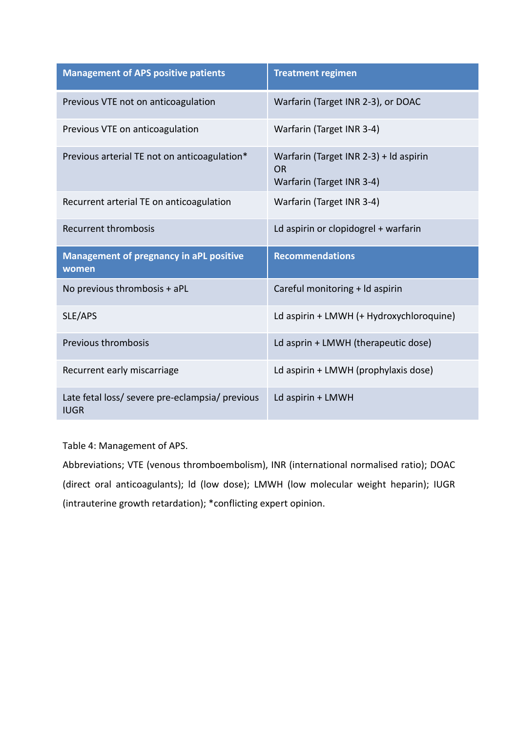| <b>Management of APS positive patients</b>              | <b>Treatment regimen</b>                                                         |
|---------------------------------------------------------|----------------------------------------------------------------------------------|
| Previous VTE not on anticoagulation                     | Warfarin (Target INR 2-3), or DOAC                                               |
| Previous VTE on anticoagulation                         | Warfarin (Target INR 3-4)                                                        |
| Previous arterial TE not on anticoagulation*            | Warfarin (Target INR 2-3) + Id aspirin<br><b>OR</b><br>Warfarin (Target INR 3-4) |
| Recurrent arterial TE on anticoagulation                | Warfarin (Target INR 3-4)                                                        |
| Recurrent thrombosis                                    | Ld aspirin or clopidogrel + warfarin                                             |
|                                                         |                                                                                  |
| <b>Management of pregnancy in aPL positive</b><br>women | <b>Recommendations</b>                                                           |
| No previous thrombosis + aPL                            | Careful monitoring + ld aspirin                                                  |
| SLE/APS                                                 | Ld aspirin + LMWH (+ Hydroxychloroquine)                                         |
| Previous thrombosis                                     | Ld asprin + LMWH (therapeutic dose)                                              |
| Recurrent early miscarriage                             | Ld aspirin + LMWH (prophylaxis dose)                                             |

Table 4: Management of APS.

Abbreviations; VTE (venous thromboembolism), INR (international normalised ratio); DOAC (direct oral anticoagulants); ld (low dose); LMWH (low molecular weight heparin); IUGR (intrauterine growth retardation); \*conflicting expert opinion.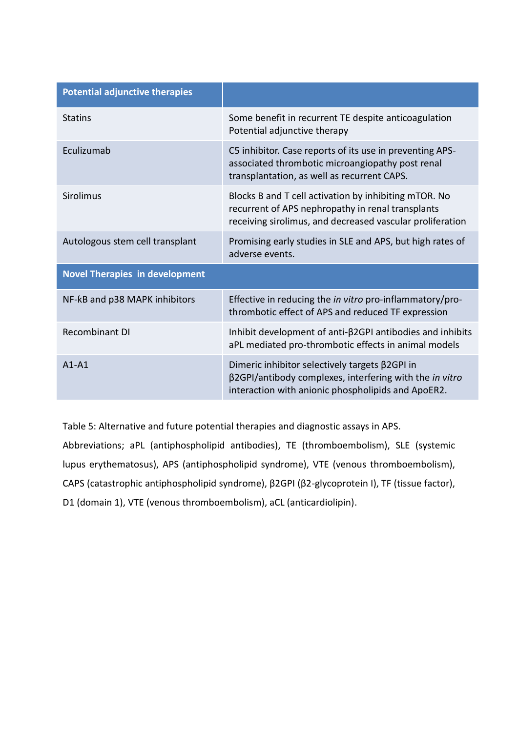| <b>Potential adjunctive therapies</b> |                                                                                                                                                                         |  |  |
|---------------------------------------|-------------------------------------------------------------------------------------------------------------------------------------------------------------------------|--|--|
| <b>Statins</b>                        | Some benefit in recurrent TE despite anticoagulation<br>Potential adjunctive therapy                                                                                    |  |  |
| Eculizumab                            | C5 inhibitor. Case reports of its use in preventing APS-<br>associated thrombotic microangiopathy post renal<br>transplantation, as well as recurrent CAPS.             |  |  |
| Sirolimus                             | Blocks B and T cell activation by inhibiting mTOR. No<br>recurrent of APS nephropathy in renal transplants<br>receiving sirolimus, and decreased vascular proliferation |  |  |
| Autologous stem cell transplant       | Promising early studies in SLE and APS, but high rates of<br>adverse events.                                                                                            |  |  |
| <b>Novel Therapies in development</b> |                                                                                                                                                                         |  |  |
| NF-kB and p38 MAPK inhibitors         | Effective in reducing the <i>in vitro</i> pro-inflammatory/pro-<br>thrombotic effect of APS and reduced TF expression                                                   |  |  |
| <b>Recombinant DI</b>                 | Inhibit development of anti- $\beta$ 2GPI antibodies and inhibits<br>aPL mediated pro-thrombotic effects in animal models                                               |  |  |
| $A1 - A1$                             | Dimeric inhibitor selectively targets $\beta$ 2GPI in<br>β2GPI/antibody complexes, interfering with the in vitro<br>interaction with anionic phospholipids and ApoER2.  |  |  |

Table 5: Alternative and future potential therapies and diagnostic assays in APS. Abbreviations; aPL (antiphospholipid antibodies), TE (thromboembolism), SLE (systemic lupus erythematosus), APS (antiphospholipid syndrome), VTE (venous thromboembolism), CAPS (catastrophic antiphospholipid syndrome), β2GPI (β2-glycoprotein I), TF (tissue factor), D1 (domain 1), VTE (venous thromboembolism), aCL (anticardiolipin).